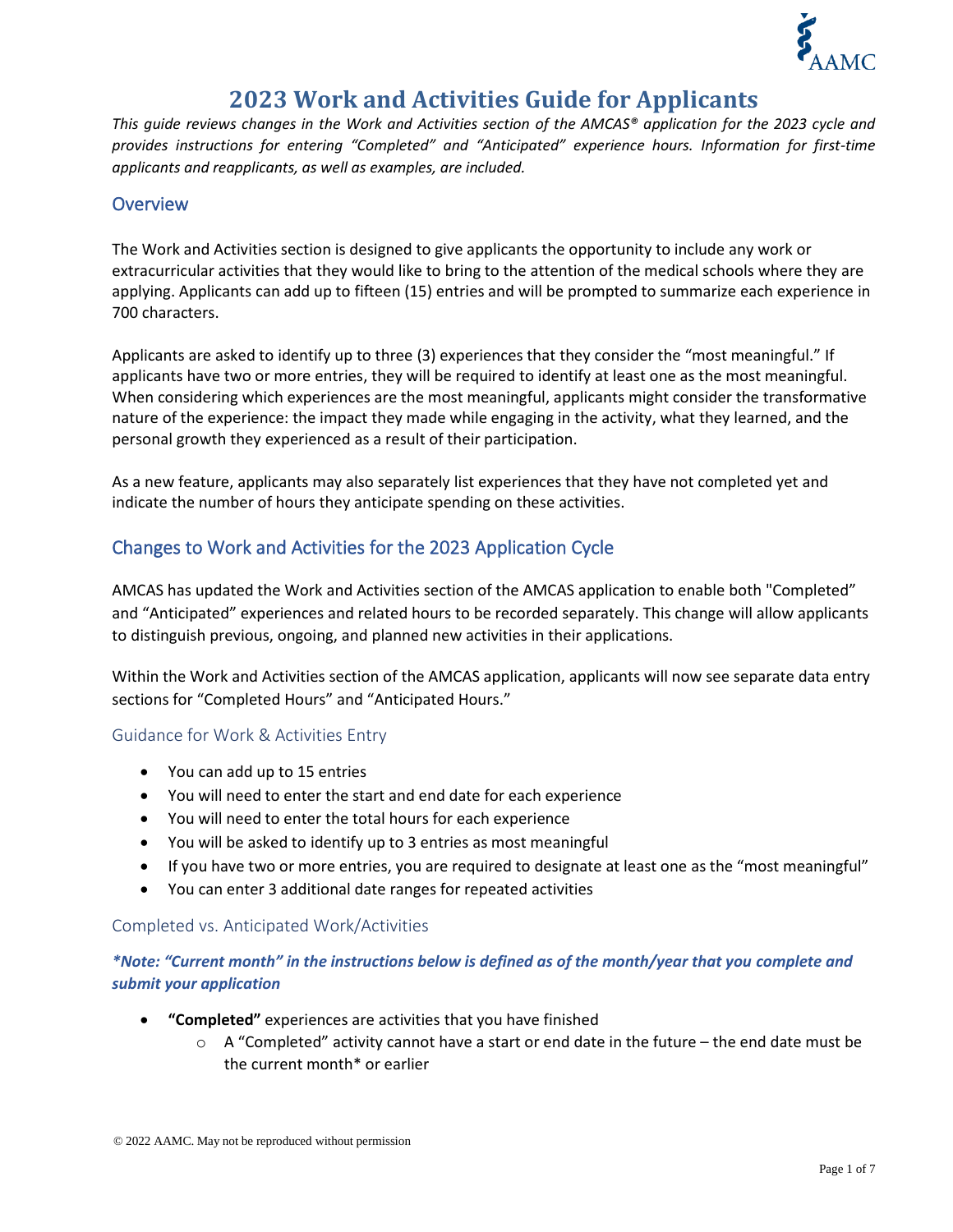

# **2023 Work and Activities Guide for Applicants**

*This guide reviews changes in the Work and Activities section of the AMCAS® application for the 2023 cycle and provides instructions for entering "Completed" and "Anticipated" experience hours. Information for first-time applicants and reapplicants, as well as examples, are included.*

## **Overview**

The Work and Activities section is designed to give applicants the opportunity to include any work or extracurricular activities that they would like to bring to the attention of the medical schools where they are applying. Applicants can add up to fifteen (15) entries and will be prompted to summarize each experience in 700 characters.

Applicants are asked to identify up to three (3) experiences that they consider the "most meaningful." If applicants have two or more entries, they will be required to identify at least one as the most meaningful. When considering which experiences are the most meaningful, applicants might consider the transformative nature of the experience: the impact they made while engaging in the activity, what they learned, and the personal growth they experienced as a result of their participation.

As a new feature, applicants may also separately list experiences that they have not completed yet and indicate the number of hours they anticipate spending on these activities.

## Changes to Work and Activities for the 2023 Application Cycle

AMCAS has updated the Work and Activities section of the AMCAS application to enable both "Completed" and "Anticipated" experiences and related hours to be recorded separately. This change will allow applicants to distinguish previous, ongoing, and planned new activities in their applications.

Within the Work and Activities section of the AMCAS application, applicants will now see separate data entry sections for "Completed Hours" and "Anticipated Hours."

## Guidance for Work & Activities Entry

- You can add up to 15 entries
- You will need to enter the start and end date for each experience
- You will need to enter the total hours for each experience
- You will be asked to identify up to 3 entries as most meaningful
- If you have two or more entries, you are required to designate at least one as the "most meaningful"
- You can enter 3 additional date ranges for repeated activities

### Completed vs. Anticipated Work/Activities

## *\*Note: "Current month" in the instructions below is defined as of the month/year that you complete and submit your application*

- **"Completed"** experiences are activities that you have finished
	- $\circ$  A "Completed" activity cannot have a start or end date in the future the end date must be the current month\* or earlier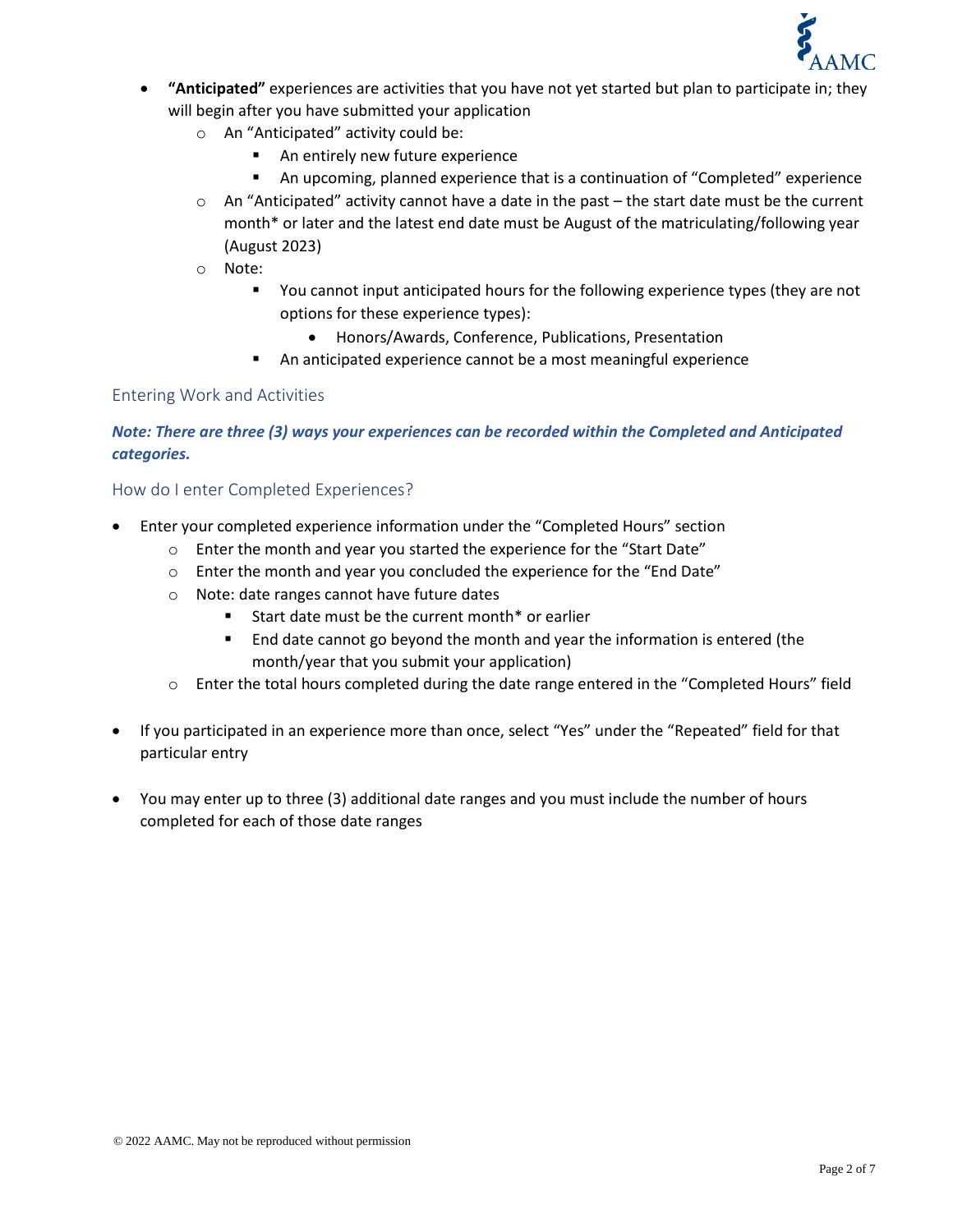

- **"Anticipated"** experiences are activities that you have not yet started but plan to participate in; they will begin after you have submitted your application
	- o An "Anticipated" activity could be:
		- An entirely new future experience
		- An upcoming, planned experience that is a continuation of "Completed" experience
	- $\circ$  An "Anticipated" activity cannot have a date in the past the start date must be the current month\* or later and the latest end date must be August of the matriculating/following year (August 2023)
	- o Note:
		- You cannot input anticipated hours for the following experience types (they are not options for these experience types):
			- Honors/Awards, Conference, Publications, Presentation
		- An anticipated experience cannot be a most meaningful experience

## Entering Work and Activities

## *Note: There are three (3) ways your experiences can be recorded within the Completed and Anticipated categories.*

### How do I enter Completed Experiences?

- Enter your completed experience information under the "Completed Hours" section
	- o Enter the month and year you started the experience for the "Start Date"
	- o Enter the month and year you concluded the experience for the "End Date"
	- o Note: date ranges cannot have future dates
		- Start date must be the current month\* or earlier
		- End date cannot go beyond the month and year the information is entered (the month/year that you submit your application)
	- $\circ$  Enter the total hours completed during the date range entered in the "Completed Hours" field
- If you participated in an experience more than once, select "Yes" under the "Repeated" field for that particular entry
- You may enter up to three (3) additional date ranges and you must include the number of hours completed for each of those date ranges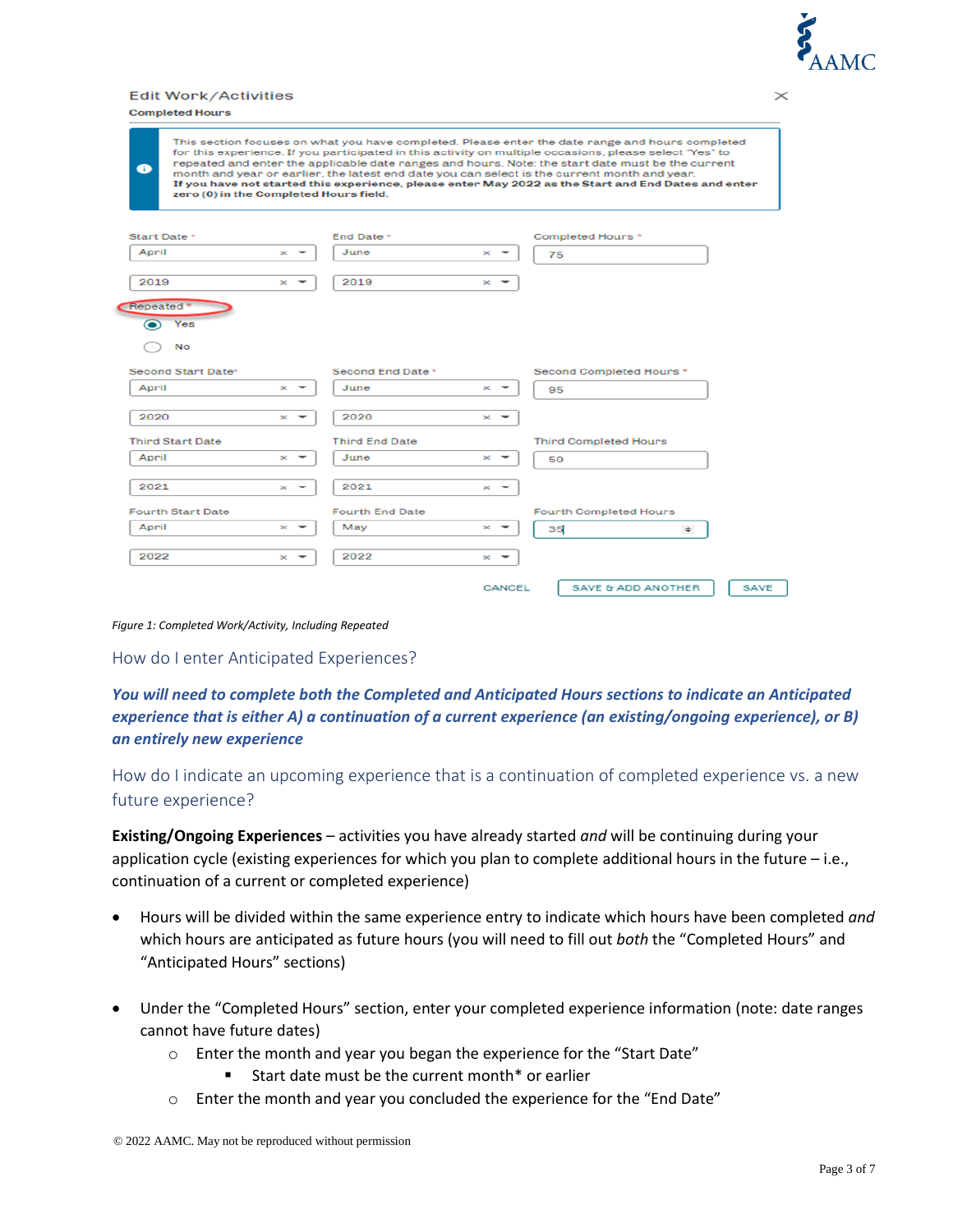

#### Edit Work/Activities

|  | <b>Completed Hours</b> |
|--|------------------------|
|  |                        |

| $\bullet$<br>zero (0) in the Completed Hours field. |                   |                        |                   | This section focuses on what you have completed. Please enter the date range and hours completed<br>for this experience. If you participated in this activity on multiple occasions, please select "Yes" to<br>repeated and enter the applicable date ranges and hours. Note: the start date must be the current<br>month and year or earlier, the latest end date you can select is the current month and year.<br>If you have not started this experience, please enter May 2022 as the Start and End Dates and enter |
|-----------------------------------------------------|-------------------|------------------------|-------------------|-------------------------------------------------------------------------------------------------------------------------------------------------------------------------------------------------------------------------------------------------------------------------------------------------------------------------------------------------------------------------------------------------------------------------------------------------------------------------------------------------------------------------|
| Start Date *                                        |                   | End Date *             |                   | Completed Hours*                                                                                                                                                                                                                                                                                                                                                                                                                                                                                                        |
| April                                               | $\infty$          | June                   | $\propto$         | 75                                                                                                                                                                                                                                                                                                                                                                                                                                                                                                                      |
| 2019<br>Repeated <sup>*</sup>                       | $\mathbf{x}$      | 2019                   | $\infty$          |                                                                                                                                                                                                                                                                                                                                                                                                                                                                                                                         |
| Yes<br>No                                           |                   |                        |                   |                                                                                                                                                                                                                                                                                                                                                                                                                                                                                                                         |
| Second Start Date*                                  |                   | Second End Date *      |                   | Second Completed Hours *                                                                                                                                                                                                                                                                                                                                                                                                                                                                                                |
| April                                               | $\times$ $\sim$   | June                   | $\times$ $\sim$   | 95                                                                                                                                                                                                                                                                                                                                                                                                                                                                                                                      |
| 2020                                                | $\mathbf{x}$      | 2020                   | $\times$ $\sim$   |                                                                                                                                                                                                                                                                                                                                                                                                                                                                                                                         |
| <b>Third Start Date</b>                             |                   | <b>Third End Date</b>  |                   | <b>Third Completed Hours</b>                                                                                                                                                                                                                                                                                                                                                                                                                                                                                            |
| April                                               | $\mathbf{\times}$ | June                   | $\mathbf{\times}$ | 50                                                                                                                                                                                                                                                                                                                                                                                                                                                                                                                      |
| 2021                                                | $\times$          | 2021                   | $\times$ $\sim$   |                                                                                                                                                                                                                                                                                                                                                                                                                                                                                                                         |
| <b>Fourth Start Date</b>                            |                   | <b>Fourth End Date</b> |                   | <b>Fourth Completed Hours</b>                                                                                                                                                                                                                                                                                                                                                                                                                                                                                           |
| April                                               | $\times$ $\sim$   | May                    | $\mathbf{\times}$ | 35<br>$\Rightarrow$                                                                                                                                                                                                                                                                                                                                                                                                                                                                                                     |
| 2022                                                | $\geq$            | 2022                   | $\propto$         |                                                                                                                                                                                                                                                                                                                                                                                                                                                                                                                         |
|                                                     |                   |                        | <b>CANCEL</b>     | <b>SAVE &amp; ADD ANOTHER</b><br><b>SAVE</b>                                                                                                                                                                                                                                                                                                                                                                                                                                                                            |

*Figure 1: Completed Work/Activity, Including Repeated* 

How do I enter Anticipated Experiences?

*You will need to complete both the Completed and Anticipated Hours sections to indicate an Anticipated experience that is either A) a continuation of a current experience (an existing/ongoing experience), or B) an entirely new experience*

How do I indicate an upcoming experience that is a continuation of completed experience vs. a new future experience?

**Existing/Ongoing Experiences** – activities you have already started *and* will be continuing during your application cycle (existing experiences for which you plan to complete additional hours in the future – i.e., continuation of a current or completed experience)

- Hours will be divided within the same experience entry to indicate which hours have been completed *and* which hours are anticipated as future hours (you will need to fill out *both* the "Completed Hours" and "Anticipated Hours" sections)
- Under the "Completed Hours" section, enter your completed experience information (note: date ranges cannot have future dates)
	- o Enter the month and year you began the experience for the "Start Date"
		- Start date must be the current month\* or earlier
	- $\circ$  Enter the month and year you concluded the experience for the "End Date"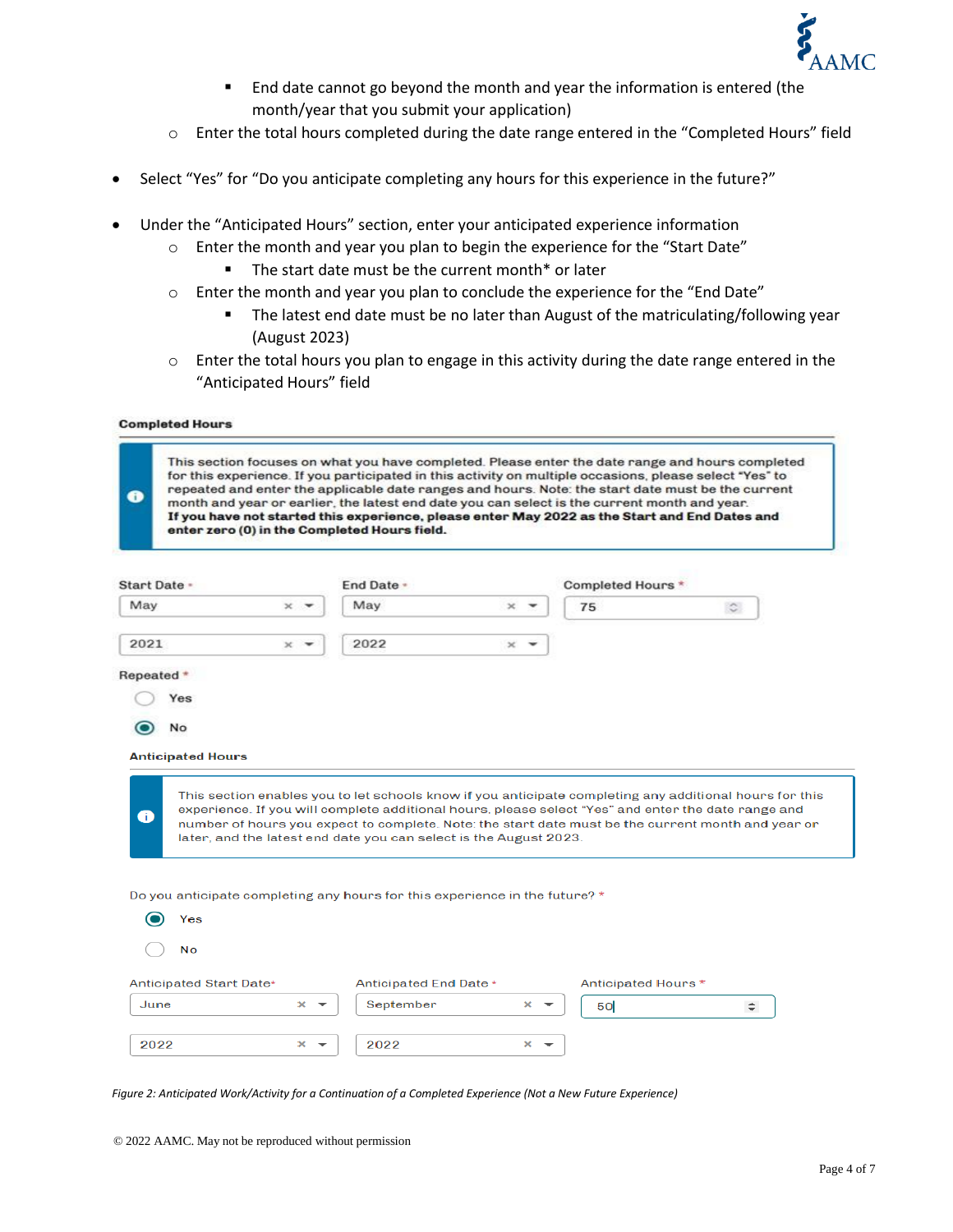

- End date cannot go beyond the month and year the information is entered (the month/year that you submit your application)
- o Enter the total hours completed during the date range entered in the "Completed Hours" field
- Select "Yes" for "Do you anticipate completing any hours for this experience in the future?"
- Under the "Anticipated Hours" section, enter your anticipated experience information
	- o Enter the month and year you plan to begin the experience for the "Start Date"
		- The start date must be the current month\* or later
	- $\circ$  Enter the month and year you plan to conclude the experience for the "End Date"
		- The latest end date must be no later than August of the matriculating/following year (August 2023)
	- o Enter the total hours you plan to engage in this activity during the date range entered in the "Anticipated Hours" field

#### **Completed Hours**

| O            | month and year or earlier, the latest end date you can select is the current month and year.<br>If you have not started this experience, please enter May 2022 as the Start and End Dates and<br>enter zero (0) in the Completed Hours field. |                                   |                                                                   |                                               |                     | This section focuses on what you have completed. Please enter the date range and hours completed<br>for this experience. If you participated in this activity on multiple occasions, please select "Yes" to<br>repeated and enter the applicable date ranges and hours. Note: the start date must be the current     |
|--------------|-----------------------------------------------------------------------------------------------------------------------------------------------------------------------------------------------------------------------------------------------|-----------------------------------|-------------------------------------------------------------------|-----------------------------------------------|---------------------|----------------------------------------------------------------------------------------------------------------------------------------------------------------------------------------------------------------------------------------------------------------------------------------------------------------------|
| Start Date - |                                                                                                                                                                                                                                               |                                   | End Date -                                                        |                                               | Completed Hours *   |                                                                                                                                                                                                                                                                                                                      |
| May          |                                                                                                                                                                                                                                               | $\times$ $\overline{\phantom{0}}$ | May                                                               | $\infty$                                      | 75                  | $\circ$                                                                                                                                                                                                                                                                                                              |
| 2021         | ×                                                                                                                                                                                                                                             |                                   | 2022                                                              | $\times$                                      |                     |                                                                                                                                                                                                                                                                                                                      |
| Repeated *   |                                                                                                                                                                                                                                               |                                   |                                                                   |                                               |                     |                                                                                                                                                                                                                                                                                                                      |
|              | Yes                                                                                                                                                                                                                                           |                                   |                                                                   |                                               |                     |                                                                                                                                                                                                                                                                                                                      |
|              | No                                                                                                                                                                                                                                            |                                   |                                                                   |                                               |                     |                                                                                                                                                                                                                                                                                                                      |
| Œ            | <b>Anticipated Hours</b>                                                                                                                                                                                                                      |                                   | later, and the latest end date you can select is the August 2023. |                                               |                     | This section enables you to let schools know if you anticipate completing any additional hours for this<br>experience. If you will complete additional hours, please select "Yes" and enter the date range and<br>number of hours you expect to complete. Note: the start date must be the current month and year or |
|              | Do you anticipate completing any hours for this experience in the future? *<br>Yes                                                                                                                                                            |                                   |                                                                   |                                               |                     |                                                                                                                                                                                                                                                                                                                      |
|              | No                                                                                                                                                                                                                                            |                                   |                                                                   |                                               |                     |                                                                                                                                                                                                                                                                                                                      |
|              | Anticipated Start Date*                                                                                                                                                                                                                       |                                   | Anticipated End Date *                                            |                                               | Anticipated Hours * |                                                                                                                                                                                                                                                                                                                      |
| June         |                                                                                                                                                                                                                                               | $\times$ $\sim$                   | September                                                         | $\times$ $\sim$                               | 50                  | $\div$                                                                                                                                                                                                                                                                                                               |
| 2022         |                                                                                                                                                                                                                                               | ×                                 | 2022                                                              | $\mathbf{\times}$<br>$\overline{\phantom{a}}$ |                     |                                                                                                                                                                                                                                                                                                                      |

*Figure 2: Anticipated Work/Activity for a Continuation of a Completed Experience (Not a New Future Experience)*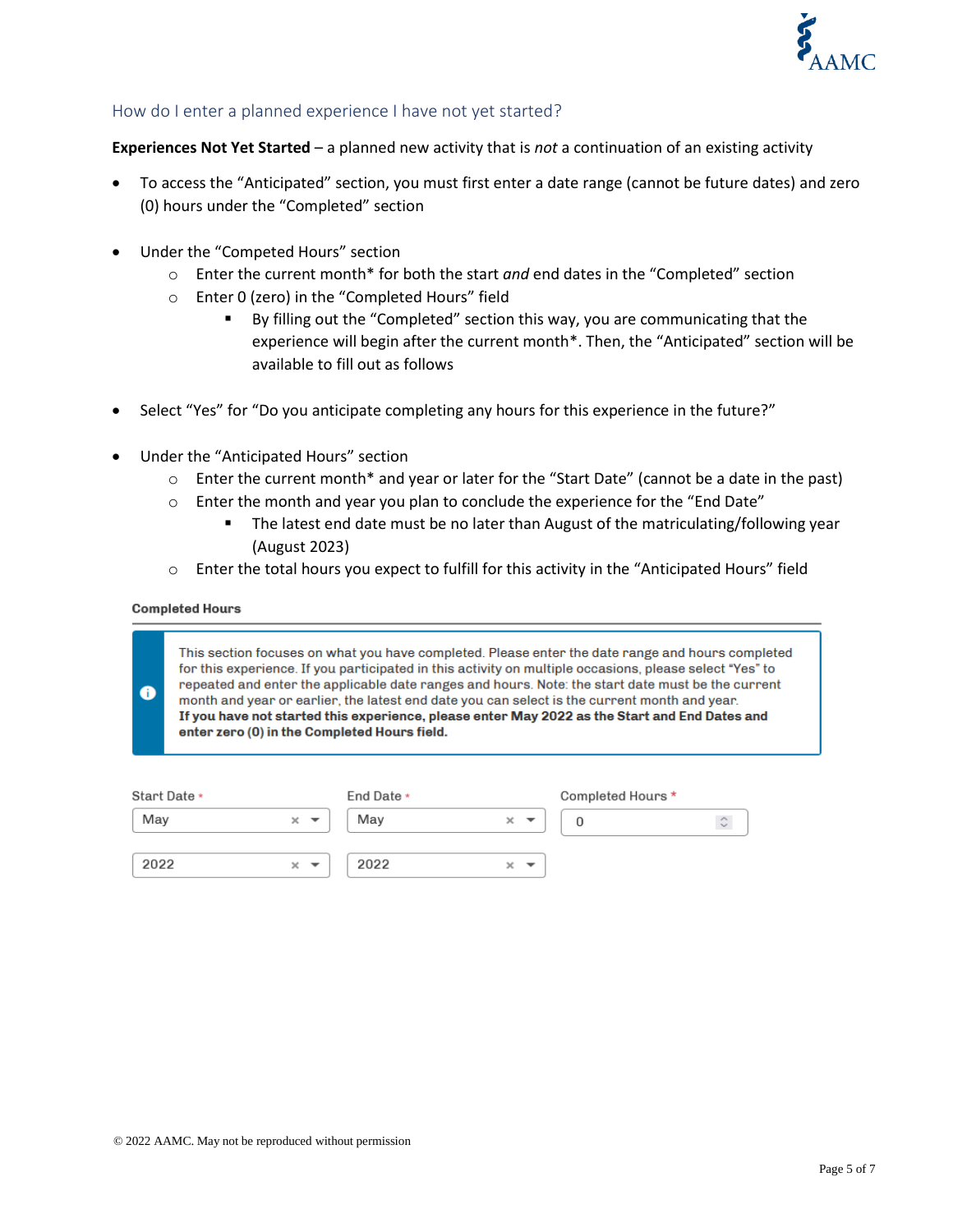

## How do I enter a planned experience I have not yet started?

**Experiences Not Yet Started** – a planned new activity that is *not* a continuation of an existing activity

- To access the "Anticipated" section, you must first enter a date range (cannot be future dates) and zero (0) hours under the "Completed" section
- Under the "Competed Hours" section
	- o Enter the current month\* for both the start *and* end dates in the "Completed" section
	- o Enter 0 (zero) in the "Completed Hours" field
		- By filling out the "Completed" section this way, you are communicating that the experience will begin after the current month\*. Then, the "Anticipated" section will be available to fill out as follows
- Select "Yes" for "Do you anticipate completing any hours for this experience in the future?"
- Under the "Anticipated Hours" section
	- o Enter the current month\* and year or later for the "Start Date" (cannot be a date in the past)
	- $\circ$  Enter the month and year you plan to conclude the experience for the "End Date"
		- The latest end date must be no later than August of the matriculating/following year (August 2023)
	- $\circ$  Enter the total hours you expect to fulfill for this activity in the "Anticipated Hours" field

#### **Completed Hours**

 $\bullet$ 

This section focuses on what you have completed. Please enter the date range and hours completed for this experience. If you participated in this activity on multiple occasions, please select "Yes" to repeated and enter the applicable date ranges and hours. Note: the start date must be the current month and year or earlier, the latest end date you can select is the current month and year. If you have not started this experience, please enter May 2022 as the Start and End Dates and enter zero (0) in the Completed Hours field.

| Start Date * |                        | End Date * |               | Completed Hours * |    |
|--------------|------------------------|------------|---------------|-------------------|----|
| May          | $\times$ $\rightarrow$ | May        | $\times$<br>▼ |                   | ¢. |
| 2022         | $\times$ $\sim$        | 2022       | ×.<br>▼       |                   |    |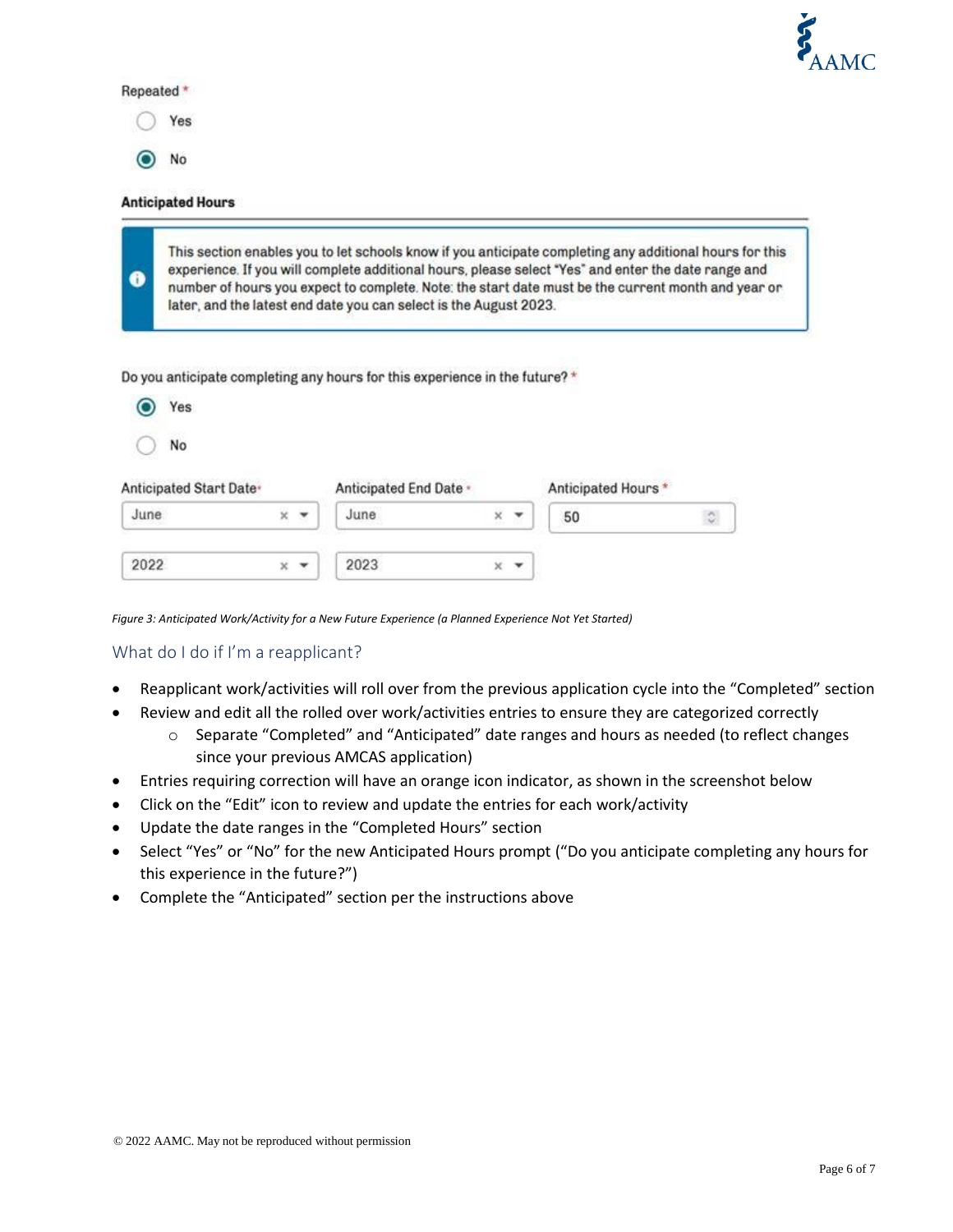

#### Repeated \*

Yes

No

 $\bullet$ 

#### **Anticipated Hours**

This section enables you to let schools know if you anticipate completing any additional hours for this experience. If you will complete additional hours, please select "Yes" and enter the date range and number of hours you expect to complete. Note: the start date must be the current month and year or later, and the latest end date you can select is the August 2023.

| Do you anticipate completing any hours for this experience in the future? * |  |  |  |
|-----------------------------------------------------------------------------|--|--|--|
|-----------------------------------------------------------------------------|--|--|--|

| Yes                                 |   |            |                        |   |   |                    |                     |
|-------------------------------------|---|------------|------------------------|---|---|--------------------|---------------------|
| No                                  |   |            |                        |   |   |                    |                     |
| Anticipated Start Date <sup>®</sup> |   |            | Anticipated End Date - |   |   | Anticipated Hours* |                     |
| June                                | × | $\check{}$ | June                   | × | ٠ | 50                 | $\hat{\mathcal{Q}}$ |
| 2022                                | × | ۰          | 2023                   | × |   |                    |                     |

*Figure 3: Anticipated Work/Activity for a New Future Experience (a Planned Experience Not Yet Started)*

#### What do I do if I'm a reapplicant?

- Reapplicant work/activities will roll over from the previous application cycle into the "Completed" section
- Review and edit all the rolled over work/activities entries to ensure they are categorized correctly
	- o Separate "Completed" and "Anticipated" date ranges and hours as needed (to reflect changes since your previous AMCAS application)
- Entries requiring correction will have an orange icon indicator, as shown in the screenshot below
- Click on the "Edit" icon to review and update the entries for each work/activity
- Update the date ranges in the "Completed Hours" section
- Select "Yes" or "No" for the new Anticipated Hours prompt ("Do you anticipate completing any hours for this experience in the future?")
- Complete the "Anticipated" section per the instructions above